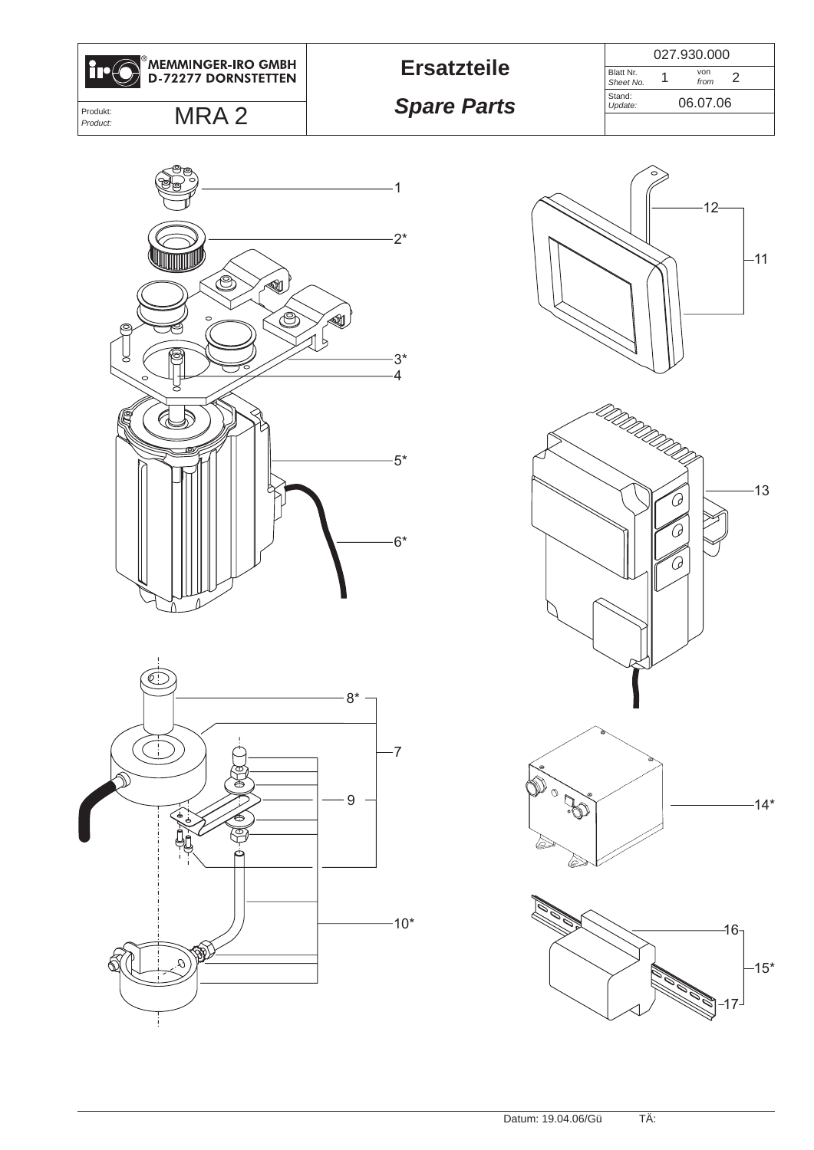

**Ersatzteile** 22

Blatt Nr. *Sheet No.* von *from* Stand: *Update:* 2 027.930.000